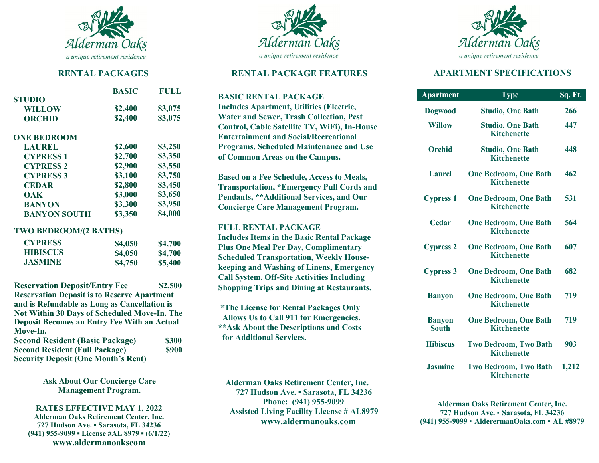

### **RENTAL PACKAGES**

|                     | <b>BASIC</b> | FULL    |
|---------------------|--------------|---------|
| <b>STUDIO</b>       |              |         |
| <b>WILLOW</b>       | \$2,400      | \$3,075 |
| <b>ORCHID</b>       | \$2,400      | \$3,075 |
| <b>ONE BEDROOM</b>  |              |         |
| <b>LAUREL</b>       | \$2,600      | \$3,250 |
| <b>CYPRESS 1</b>    | \$2,700      | \$3,350 |
| <b>CYPRESS 2</b>    | \$2,900      | \$3,550 |
| <b>CYPRESS 3</b>    | \$3,100      | \$3,750 |
| <b>CEDAR</b>        | \$2,800      | \$3,450 |
| <b>OAK</b>          | \$3,000      | \$3,650 |
| <b>BANYON</b>       | \$3,300      | \$3,950 |
| <b>BANYON SOUTH</b> | \$3,350      | \$4,000 |

### **TWO BEDROOM/(2 BATHS)**

| <b>CYPRESS</b>  | \$4,050 | \$4,700 |
|-----------------|---------|---------|
| <b>HIBISCUS</b> | \$4,050 | \$4,700 |
| <b>JASMINE</b>  | \$4,750 | \$5,400 |

**Reservation Deposit/Entry Fee \$2,500 Reservation Deposit is to Reserve Apartment and is Refundable as Long as Cancellation is Not Within 30 Days of Scheduled Move-In. The Deposit Becomes an Entry Fee With an Actual Move-In.**

| <b>Second Resident (Basic Package)</b>     | \$300 |
|--------------------------------------------|-------|
| <b>Second Resident (Full Package)</b>      | \$900 |
| <b>Security Deposit (One Month's Rent)</b> |       |

**Ask About Our Concierge Care Management Program.**

**RATES EFFECTIVE MAY 1, 2022 Alderman Oaks Retirement Center, Inc. 727 Hudson Ave. ▪ Sarasota, FL 34236 (941) 955-9099 ▪ License #AL 8979 ▪ (6/1/22) www.aldermanoakscom** 



## **RENTAL PACKAGE FEATURES**

**BASIC RENTAL PACKAGE Includes Apartment, Utilities (Electric, Water and Sewer, Trash Collection, Pest Control, Cable Satellite TV, WiFi), In-House Entertainment and Social/Recreational Programs, Scheduled Maintenance and Use of Common Areas on the Campus.**

**Based on a Fee Schedule, Access to Meals, Transportation, \*Emergency Pull Cords and Pendants, \*\*Additional Services, and Our Concierge Care Management Program.**

### **FULL RENTAL PACKAGE**

**Includes Items in the Basic Rental Package Plus One Meal Per Day, Complimentary Scheduled Transportation, Weekly Housekeeping and Washing of Linens, Emergency Call System, Off-Site Activities Including Shopping Trips and Dining at Restaurants.** 

**\*The License for Rental Packages Only Allows Us to Call 911 for Emergencies. \*\*Ask About the Descriptions and Costs for Additional Services.**

 **Alderman Oaks Retirement Center, Inc. 727 Hudson Ave. ▪ Sarasota, FL 34236 Phone: (941) 955-9099 Assisted Living Facility License # AL8979 www.aldermanoaks.com**



# **APARTMENT SPECIFICATIONS**

| <b>Apartment</b>              | $\overline{\text{Type}}$                           | Sq. Ft. |
|-------------------------------|----------------------------------------------------|---------|
| <b>Dogwood</b>                | <b>Studio, One Bath</b>                            | 266     |
| <b>Willow</b>                 | <b>Studio, One Bath</b><br><b>Kitchenette</b>      | 447     |
| <b>Orchid</b>                 | <b>Studio, One Bath</b><br><b>Kitchenette</b>      | 448     |
| Laurel                        | <b>One Bedroom, One Bath</b><br><b>Kitchenette</b> | 462     |
| <b>Cypress 1</b>              | <b>One Bedroom, One Bath</b><br><b>Kitchenette</b> | 531     |
| <b>Cedar</b>                  | <b>One Bedroom, One Bath</b><br><b>Kitchenette</b> | 564     |
| <b>Cypress 2</b>              | <b>One Bedroom, One Bath</b><br><b>Kitchenette</b> | 607     |
| <b>Cypress 3</b>              | <b>One Bedroom, One Bath</b><br><b>Kitchenette</b> | 682     |
| <b>Banyon</b>                 | <b>One Bedroom, One Bath</b><br><b>Kitchenette</b> | 719     |
| <b>Banyon</b><br><b>South</b> | <b>One Bedroom, One Bath</b><br><b>Kitchenette</b> | 719     |
| <b>Hibiscus</b>               | <b>Two Bedroom, Two Bath</b><br><b>Kitchenette</b> | 903     |
| <b>Jasmine</b>                | <b>Two Bedroom, Two Bath</b><br><b>Kitchenette</b> | 1,212   |

**Alderman Oaks Retirement Center, Inc. 727 Hudson Ave. ▪ Sarasota, FL 34236 (941) 955-9099 ▪ AlderermanOaks.com ▪ AL #8979**